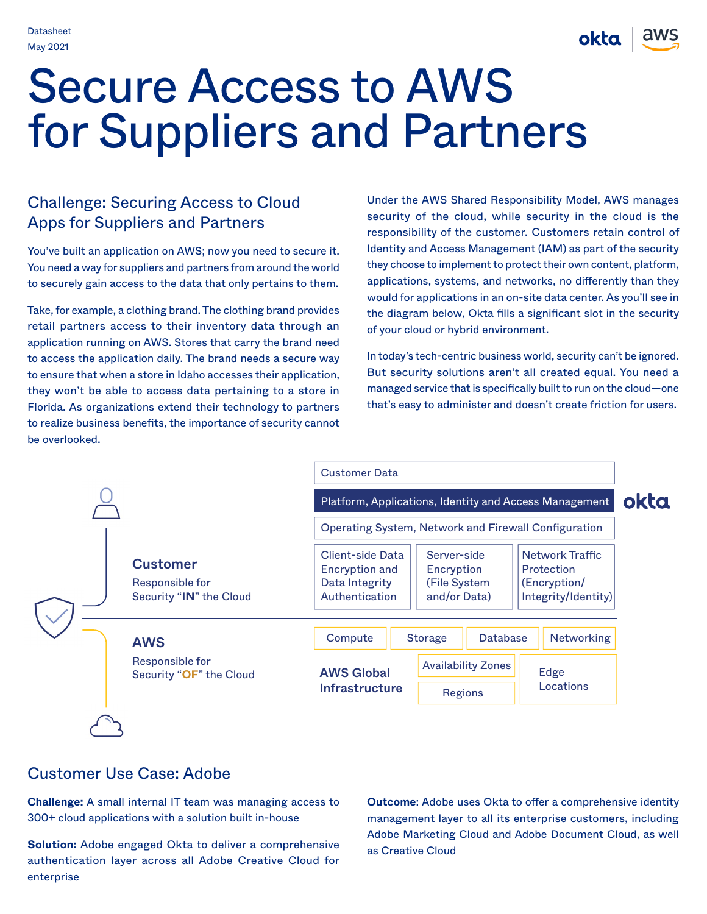okta

# Secure Access to AWS for Suppliers and Partners

# Challenge: Securing Access to Cloud Apps for Suppliers and Partners

You've built an application on AWS; now you need to secure it. You need a way for suppliers and partners from around the world to securely gain access to the data that only pertains to them.

Take, for example, a clothing brand. The clothing brand provides retail partners access to their inventory data through an application running on AWS. Stores that carry the brand need to access the application daily. The brand needs a secure way to ensure that when a store in Idaho accesses their application, they won't be able to access data pertaining to a store in Florida. As organizations extend their technology to partners to realize business benefits, the importance of security cannot be overlooked.

Under the AWS Shared Responsibility Model, AWS manages security of the cloud, while security in the cloud is the responsibility of the customer. Customers retain control of Identity and Access Management (IAM) as part of the security they choose to implement to protect their own content, platform, applications, systems, and networks, no differently than they would for applications in an on-site data center. As you'll see in the diagram below, Okta fills a significant slot in the security of your cloud or hybrid environment.

In today's tech-centric business world, security can't be ignored. But security solutions aren't all created equal. You need a managed service that is specifically built to run on the cloud—one that's easy to administer and doesn't create friction for users.



### Customer Use Case: Adobe

**Challenge:** A small internal IT team was managing access to 300+ cloud applications with a solution built in-house

**Solution:** Adobe engaged Okta to deliver a comprehensive authentication layer across all Adobe Creative Cloud for enterprise

**Outcome**: Adobe uses Okta to offer a comprehensive identity management layer to all its enterprise customers, including Adobe Marketing Cloud and Adobe Document Cloud, as well as Creative Cloud